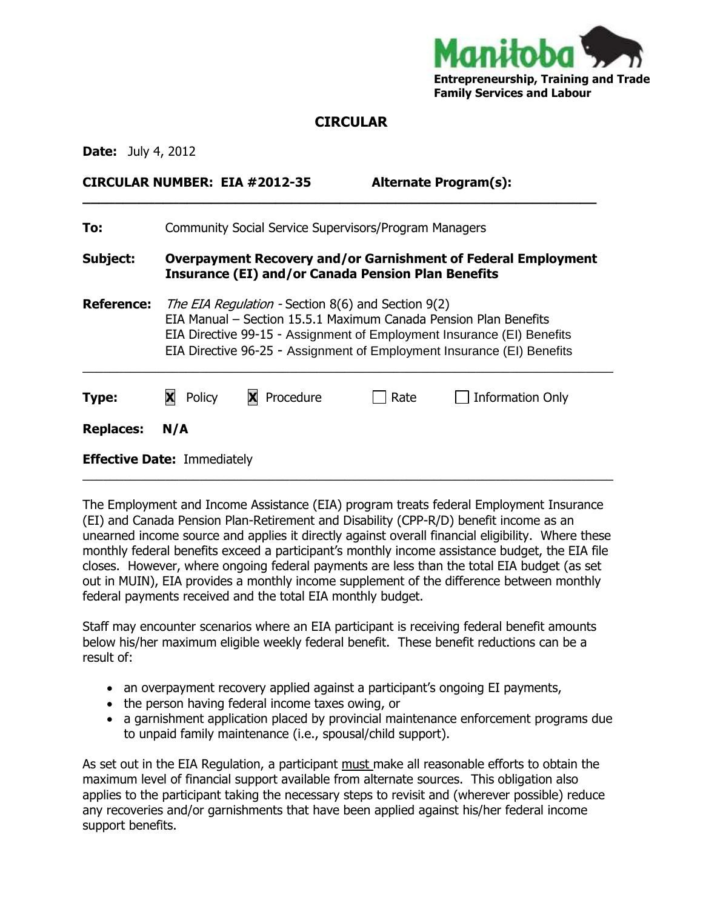

## **CIRCULAR**

**\_\_\_\_\_\_\_\_\_\_\_\_\_\_\_\_\_\_\_\_\_\_\_\_\_\_\_\_\_\_\_\_\_\_\_\_\_\_\_\_\_\_\_\_\_\_\_\_\_\_\_\_\_\_\_\_\_\_\_\_\_\_\_\_**

**Date:** July 4, 2012

**CIRCULAR NUMBER: EIA #2012-35 Alternate Program(s):** 

| To:                                | <b>Community Social Service Supervisors/Program Managers</b>                                                                                                                                                                                                                      |             |      |                         |
|------------------------------------|-----------------------------------------------------------------------------------------------------------------------------------------------------------------------------------------------------------------------------------------------------------------------------------|-------------|------|-------------------------|
| Subject:                           | <b>Overpayment Recovery and/or Garnishment of Federal Employment</b><br><b>Insurance (EI) and/or Canada Pension Plan Benefits</b>                                                                                                                                                 |             |      |                         |
| <b>Reference:</b>                  | <i>The EIA Regulation - Section 8(6) and Section 9(2)</i><br>EIA Manual – Section 15.5.1 Maximum Canada Pension Plan Benefits<br>EIA Directive 99-15 - Assignment of Employment Insurance (EI) Benefits<br>EIA Directive 96-25 - Assignment of Employment Insurance (EI) Benefits |             |      |                         |
| Type:                              | Policy<br>X                                                                                                                                                                                                                                                                       | X Procedure | Rate | <b>Information Only</b> |
| <b>Replaces:</b>                   | N/A                                                                                                                                                                                                                                                                               |             |      |                         |
| <b>Effective Date: Immediately</b> |                                                                                                                                                                                                                                                                                   |             |      |                         |

The Employment and Income Assistance (EIA) program treats federal Employment Insurance (EI) and Canada Pension Plan-Retirement and Disability (CPP-R/D) benefit income as an unearned income source and applies it directly against overall financial eligibility. Where these monthly federal benefits exceed a participant's monthly income assistance budget, the EIA file closes. However, where ongoing federal payments are less than the total EIA budget (as set out in MUIN), EIA provides a monthly income supplement of the difference between monthly federal payments received and the total EIA monthly budget.

 $\_$  , and the set of the set of the set of the set of the set of the set of the set of the set of the set of the set of the set of the set of the set of the set of the set of the set of the set of the set of the set of th

Staff may encounter scenarios where an EIA participant is receiving federal benefit amounts below his/her maximum eligible weekly federal benefit. These benefit reductions can be a result of:

- an overpayment recovery applied against a participant's ongoing EI payments,
- the person having federal income taxes owing, or
- a garnishment application placed by provincial maintenance enforcement programs due to unpaid family maintenance (i.e., spousal/child support).

As set out in the EIA Regulation, a participant must make all reasonable efforts to obtain the maximum level of financial support available from alternate sources. This obligation also applies to the participant taking the necessary steps to revisit and (wherever possible) reduce any recoveries and/or garnishments that have been applied against his/her federal income support benefits.